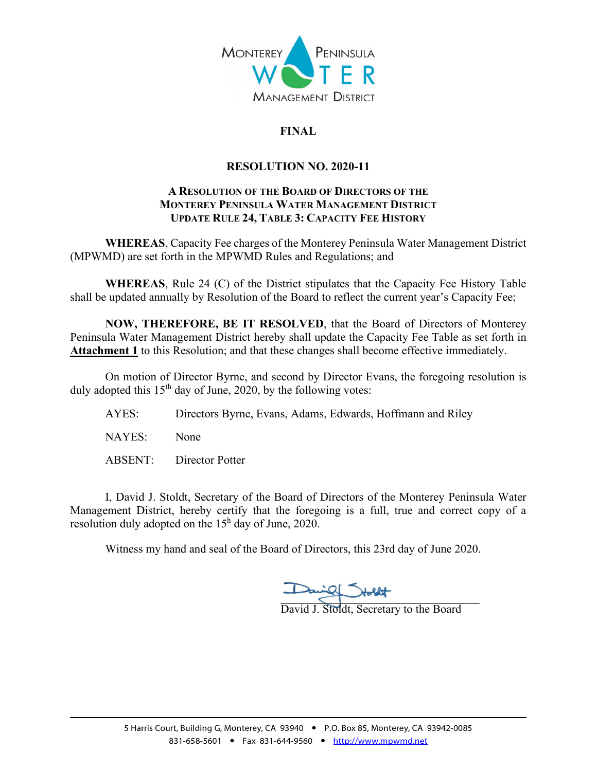

# **FINAL**

## **RESOLUTION NO. 2020-11**

#### **A RESOLUTION OF THE BOARD OF DIRECTORS OF THE MONTEREY PENINSULA WATER MANAGEMENT DISTRICT UPDATE RULE 24, TABLE 3: CAPACITY FEE HISTORY**

**WHEREAS**, Capacity Fee charges of the Monterey Peninsula Water Management District (MPWMD) are set forth in the MPWMD Rules and Regulations; and

**WHEREAS**, Rule 24 (C) of the District stipulates that the Capacity Fee History Table shall be updated annually by Resolution of the Board to reflect the current year's Capacity Fee;

**NOW, THEREFORE, BE IT RESOLVED**, that the Board of Directors of Monterey Peninsula Water Management District hereby shall update the Capacity Fee Table as set forth in **Attachment 1** to this Resolution; and that these changes shall become effective immediately.

On motion of Director Byrne, and second by Director Evans, the foregoing resolution is duly adopted this  $15<sup>th</sup>$  day of June, 2020, by the following votes:

AYES: Directors Byrne, Evans, Adams, Edwards, Hoffmann and Riley

NAYES: None

ABSENT: Director Potter

I, David J. Stoldt, Secretary of the Board of Directors of the Monterey Peninsula Water Management District, hereby certify that the foregoing is a full, true and correct copy of a resolution duly adopted on the  $15<sup>h</sup>$  day of June, 2020.

Witness my hand and seal of the Board of Directors, this 23rd day of June 2020.

 $\frac{1}{\sqrt{2}}$ 

David J. Stoldt, Secretary to the Board